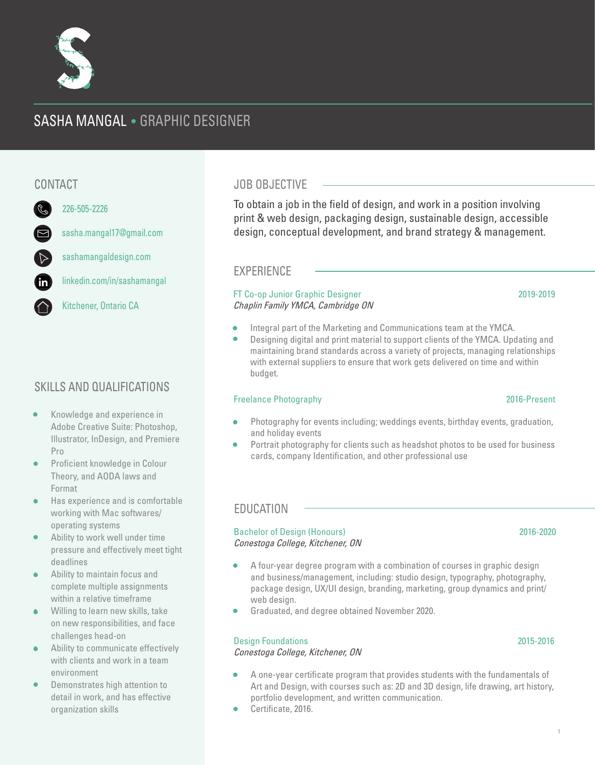# SASHA MANGAL . GRAPHIC DESIGNER



226-505-2226

sashamangaldesign.com

linkedin.com/in/sashamangal

Kitchener, Ontario CA

## SKILLS AND QUALIFICATIONS

- Knowledge and experience in Adobe Creative Suite: Photoshop, Illustrator, InDesign, and Premiere Pro
- Proficient knowledge in Colour Theory, and AODA laws and Format
- Has experience and is comfortable working with Mac softwares/ operating systems
- Ability to work well under time pressure and effectively meet tight deadlines
- Ability to maintain focus and complete multiple assignments within a relative timeframe
- Willing to learn new skills, take on new responsibilities, and face challenges head-on
- Ability to communicate effectively with clients and work in a team environment
- Demonstrates high attention to detail in work, and has effective organization skills

## CONTACT UNIVERSITY OF STRAIGHT AND THE STRAIGHT OF STRAIGHT AND THE STRAIGHT OF STRAIGHT OF STRAIGHT AND THE STR

To obtain a job in the field of design, and work in a position involving print & web design, packaging design, sustainable design, accessible design, conceptual development, and brand strategy & management.

## EXPERIENCE

### FT Co-op Junior Graphic Designer 2019-2019 Chaplin Family YMCA, Cambridge ON

- Integral part of the Marketing and Communications team at the YMCA.
- Designing digital and print material to support clients of the YMCA. Updating and maintaining brand standards across a variety of projects, managing relationships with external suppliers to ensure that work gets delivered on time and within budget.

### Freelance Photography 2016-Present

#### • Photography for events including; weddings events, birthday events, graduation, and holiday events

• Portrait photography for clients such as headshot photos to be used for business cards, company Identification, and other professional use

## EDUCATION

#### Bachelor of Design (Honours) 2016-2020 Conestoga College, Kitchener, ON

- A four-year degree program with a combination of courses in graphic design and business/management, including: studio design, typography, photography, package design, UX/UI design, branding, marketing, group dynamics and print/ web design.
- Graduated, and degree obtained November 2020.

### Design Foundations 2015-2016

#### Conestoga College, Kitchener, ON

- A one-year certificate program that provides students with the fundamentals of Art and Design, with courses such as: 2D and 3D design, life drawing, art history, portfolio development, and written communication.
- Certificate, 2016.